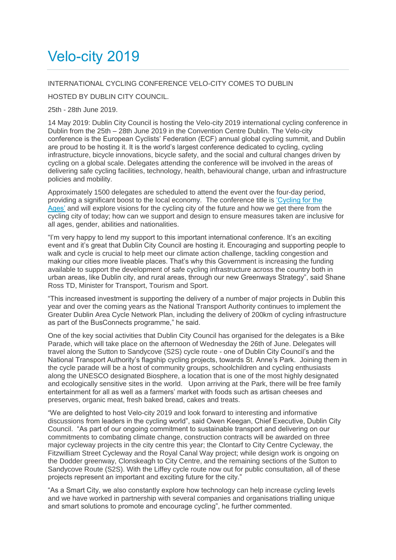## Velo-city 2019

## INTERNATIONAL CYCLING CONFERENCE VELO-CITY COMES TO DUBLIN

HOSTED BY DUBLIN CITY COUNCIL.

25th - 28th June 2019.

14 May 2019: Dublin City Council is hosting the Velo-city 2019 international cycling conference in Dublin from the 25th – 28th June 2019 in the Convention Centre Dublin. The Velo-city conference is the European Cyclists' Federation (ECF) annual global cycling summit, and Dublin are proud to be hosting it. It is the world's largest conference dedicated to cycling, cycling infrastructure, bicycle innovations, bicycle safety, and the social and cultural changes driven by cycling on a global scale. Delegates attending the conference will be involved in the areas of delivering safe cycling facilities, technology, health, behavioural change, urban and infrastructure policies and mobility.

Approximately 1500 delegates are scheduled to attend the event over the four-day period, providing a significant boost to the local economy. The conference title is ['Cycling for the](https://www.velo-city2019.com/abstract)  [Ages'](https://www.velo-city2019.com/abstract) and will explore visions for the cycling city of the future and how we get there from the cycling city of today; how can we support and design to ensure measures taken are inclusive for all ages, gender, abilities and nationalities.

"I'm very happy to lend my support to this important international conference. It's an exciting event and it's great that Dublin City Council are hosting it. Encouraging and supporting people to walk and cycle is crucial to help meet our climate action challenge, tackling congestion and making our cities more liveable places. That's why this Government is increasing the funding available to support the development of safe cycling infrastructure across the country both in urban areas, like Dublin city, and rural areas, through our new Greenways Strategy", said Shane Ross TD, Minister for Transport, Tourism and Sport.

"This increased investment is supporting the delivery of a number of major projects in Dublin this year and over the coming years as the National Transport Authority continues to implement the Greater Dublin Area Cycle Network Plan, including the delivery of 200km of cycling infrastructure as part of the BusConnects programme," he said.

One of the key social activities that Dublin City Council has organised for the delegates is a Bike Parade, which will take place on the afternoon of Wednesday the 26th of June. Delegates will travel along the Sutton to Sandycove (S2S) cycle route - one of Dublin City Council's and the National Transport Authority's flagship cycling projects, towards St. Anne's Park. Joining them in the cycle parade will be a host of community groups, schoolchildren and cycling enthusiasts along the UNESCO designated Biosphere, a location that is one of the most highly designated and ecologically sensitive sites in the world. Upon arriving at the Park, there will be free family entertainment for all as well as a farmers' market with foods such as artisan cheeses and preserves, organic meat, fresh baked bread, cakes and treats.

"We are delighted to host Velo-city 2019 and look forward to interesting and informative discussions from leaders in the cycling world", said Owen Keegan, Chief Executive, Dublin City Council. "As part of our ongoing commitment to sustainable transport and delivering on our commitments to combating climate change, construction contracts will be awarded on three major cycleway projects in the city centre this year; the Clontarf to City Centre Cycleway, the Fitzwilliam Street Cycleway and the Royal Canal Way project; while design work is ongoing on the Dodder greenway, Clonskeagh to City Centre, and the remaining sections of the Sutton to Sandycove Route (S2S). With the Liffey cycle route now out for public consultation, all of these projects represent an important and exciting future for the city."

"As a Smart City, we also constantly explore how technology can help increase cycling levels and we have worked in partnership with several companies and organisations trialling unique and smart solutions to promote and encourage cycling", he further commented.